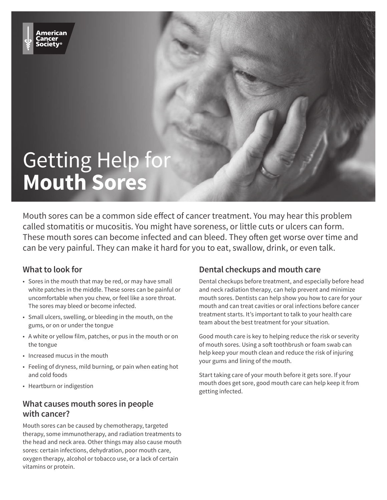

# Getting Help for **Mouth Sores**

Mouth sores can be a common side effect of cancer treatment. You may hear this problem called stomatitis or mucositis. You might have soreness, or little cuts or ulcers can form. These mouth sores can become infected and can bleed. They often get worse over time and can be very painful. They can make it hard for you to eat, swallow, drink, or even talk.

#### **What to look for**

- Sores in the mouth that may be red, or may have small white patches in the middle. These sores can be painful or uncomfortable when you chew, or feel like a sore throat. The sores may bleed or become infected.
- Small ulcers, swelling, or bleeding in the mouth, on the gums, or on or under the tongue
- A white or yellow film, patches, or pus in the mouth or on the tongue
- Increased mucus in the mouth
- Feeling of dryness, mild burning, or pain when eating hot and cold foods
- Heartburn or indigestion

#### **What causes mouth sores in people with cancer?**

Mouth sores can be caused by chemotherapy, targeted therapy, some immunotherapy, and radiation treatments to the head and neck area. Other things may also cause mouth sores: certain infections, dehydration, poor mouth care, oxygen therapy, alcohol or tobacco use, or a lack of certain vitamins or protein.

## **Dental checkups and mouth care**

Dental checkups before treatment, and especially before head and neck radiation therapy, can help prevent and minimize mouth sores. Dentists can help show you how to care for your mouth and can treat cavities or oral infections before cancer treatment starts. It's important to talk to your health care team about the best treatment for your situation.

Good mouth care is key to helping reduce the risk or severity of mouth sores. Using a soft toothbrush or foam swab can help keep your mouth clean and reduce the risk of injuring your gums and lining of the mouth.

Start taking care of your mouth before it gets sore. If your mouth does get sore, good mouth care can help keep it from getting infected.